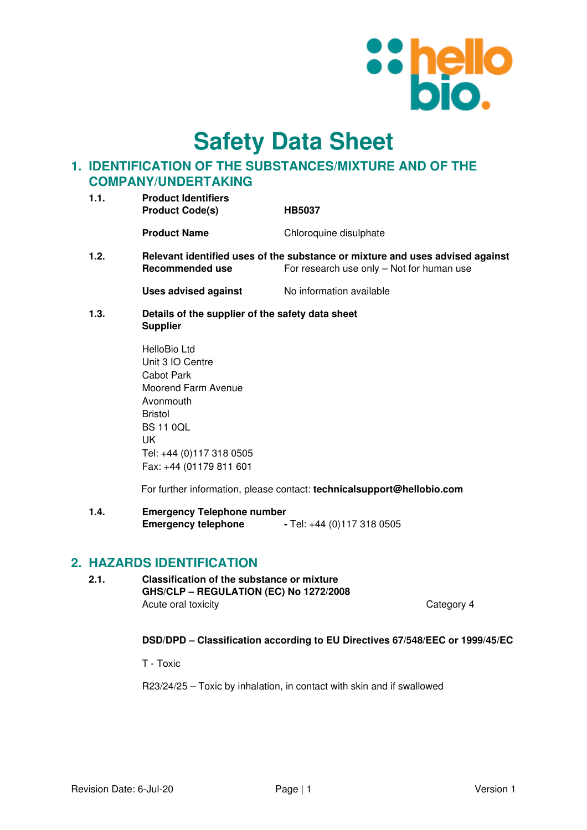

# **Safety Data Sheet**

# **1. IDENTIFICATION OF THE SUBSTANCES/MIXTURE AND OF THE COMPANY/UNDERTAKING**

| 1.1. | <b>Product Identifiers</b><br><b>Product Code(s)</b><br><b>HB5037</b> |                        |
|------|-----------------------------------------------------------------------|------------------------|
|      | <b>Product Name</b>                                                   | Chloroquine disulphate |
| 1.2. | Relevant identified uses of the substance or mixture a                |                        |

**1.2. Relevant identified uses of the substance or mixture and uses advised against Recommended use** For research use only – Not for human use

**Uses advised against No information available** 

**1.3. Details of the supplier of the safety data sheet Supplier** 

> HelloBio Ltd Unit 3 IO Centre Cabot Park Moorend Farm Avenue Avonmouth Bristol BS 11 0QL UK Tel: +44 (0)117 318 0505 Fax: +44 (01179 811 601

For further information, please contact: **technicalsupport@hellobio.com** 

**1.4. Emergency Telephone number Emergency telephone** - Tel: +44 (0)117 318 0505

# **2. HAZARDS IDENTIFICATION**

**2.1. Classification of the substance or mixture GHS/CLP – REGULATION (EC) No 1272/2008**  Acute oral toxicity **Category 4** 

# **DSD/DPD – Classification according to EU Directives 67/548/EEC or 1999/45/EC**

T - Toxic

R23/24/25 – Toxic by inhalation, in contact with skin and if swallowed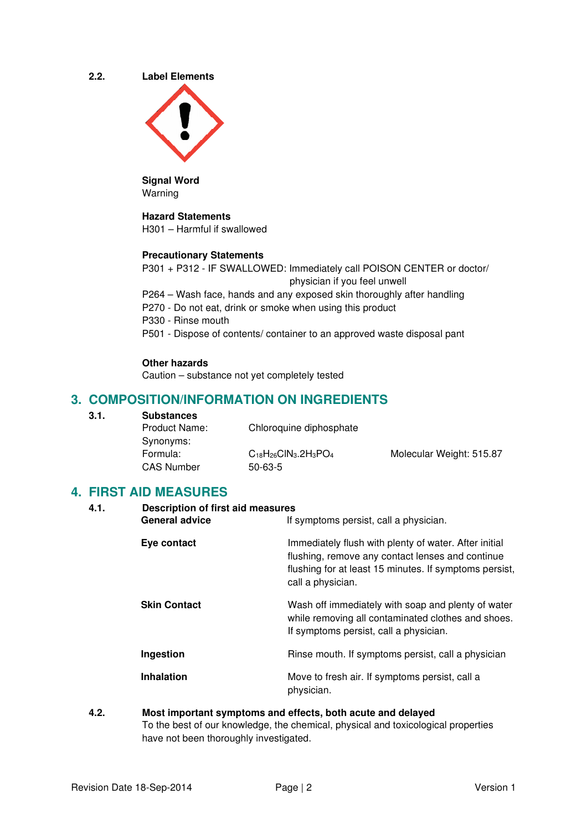**2.2. Label Elements** 



**Signal Word**  Warning

# **Hazard Statements**

H301 – Harmful if swallowed

### **Precautionary Statements**

P301 + P312 - IF SWALLOWED: Immediately call POISON CENTER or doctor/ physician if you feel unwell

P264 – Wash face, hands and any exposed skin thoroughly after handling

P270 - Do not eat, drink or smoke when using this product

P330 - Rinse mouth

P501 - Dispose of contents/ container to an approved waste disposal pant

#### **Other hazards**

Caution – substance not yet completely tested

# **3. COMPOSITION/INFORMATION ON INGREDIENTS**

| 3.1. | <b>Substances</b>    |                              |                          |
|------|----------------------|------------------------------|--------------------------|
|      | <b>Product Name:</b> | Chloroquine diphosphate      |                          |
|      | Synonyms:            |                              |                          |
|      | Formula:             | $C_{18}H_{26}CIN_3.2H_3PO_4$ | Molecular Weight: 515.87 |
|      | <b>CAS Number</b>    | $50 - 63 - 5$                |                          |

# **4. FIRST AID MEASURES**

| 4.1. | <b>Description of first aid measures</b><br><b>General advice</b> | If symptoms persist, call a physician.                                                                                                                                                   |  |
|------|-------------------------------------------------------------------|------------------------------------------------------------------------------------------------------------------------------------------------------------------------------------------|--|
|      | Eye contact                                                       | Immediately flush with plenty of water. After initial<br>flushing, remove any contact lenses and continue<br>flushing for at least 15 minutes. If symptoms persist,<br>call a physician. |  |
|      | <b>Skin Contact</b>                                               | Wash off immediately with soap and plenty of water<br>while removing all contaminated clothes and shoes.<br>If symptoms persist, call a physician.                                       |  |
|      | Ingestion                                                         | Rinse mouth. If symptoms persist, call a physician                                                                                                                                       |  |
|      | <b>Inhalation</b>                                                 | Move to fresh air. If symptoms persist, call a<br>physician.                                                                                                                             |  |

# **4.2. Most important symptoms and effects, both acute and delayed**  To the best of our knowledge, the chemical, physical and toxicological properties have not been thoroughly investigated.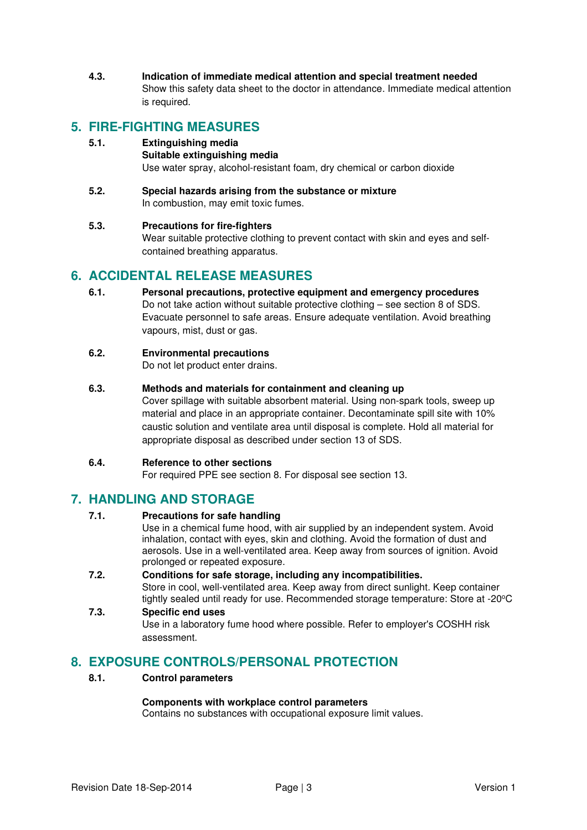**4.3. Indication of immediate medical attention and special treatment needed**  Show this safety data sheet to the doctor in attendance. Immediate medical attention is required.

# **5. FIRE-FIGHTING MEASURES**

# **5.1. Extinguishing media**

#### **Suitable extinguishing media**

Use water spray, alcohol-resistant foam, dry chemical or carbon dioxide

**5.2. Special hazards arising from the substance or mixture**  In combustion, may emit toxic fumes.

### **5.3. Precautions for fire-fighters**

Wear suitable protective clothing to prevent contact with skin and eyes and selfcontained breathing apparatus.

# **6. ACCIDENTAL RELEASE MEASURES**

**6.1. Personal precautions, protective equipment and emergency procedures**  Do not take action without suitable protective clothing – see section 8 of SDS. Evacuate personnel to safe areas. Ensure adequate ventilation. Avoid breathing vapours, mist, dust or gas.

### **6.2. Environmental precautions**

Do not let product enter drains.

### **6.3. Methods and materials for containment and cleaning up**

Cover spillage with suitable absorbent material. Using non-spark tools, sweep up material and place in an appropriate container. Decontaminate spill site with 10% caustic solution and ventilate area until disposal is complete. Hold all material for appropriate disposal as described under section 13 of SDS.

### **6.4. Reference to other sections**

For required PPE see section 8. For disposal see section 13.

# **7. HANDLING AND STORAGE**

# **7.1. Precautions for safe handling**

Use in a chemical fume hood, with air supplied by an independent system. Avoid inhalation, contact with eyes, skin and clothing. Avoid the formation of dust and aerosols. Use in a well-ventilated area. Keep away from sources of ignition. Avoid prolonged or repeated exposure.

#### **7.2. Conditions for safe storage, including any incompatibilities.**  Store in cool, well-ventilated area. Keep away from direct sunlight. Keep container tightly sealed until ready for use. Recommended storage temperature: Store at -20°C

# **7.3. Specific end uses**  Use in a laboratory fume hood where possible. Refer to employer's COSHH risk assessment.

# **8. EXPOSURE CONTROLS/PERSONAL PROTECTION**

### **8.1. Control parameters**

### **Components with workplace control parameters**

Contains no substances with occupational exposure limit values.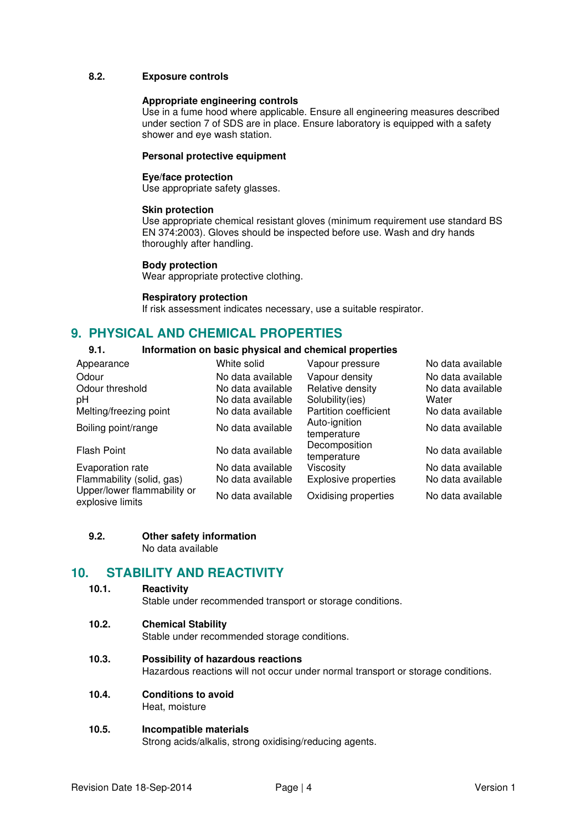### **8.2. Exposure controls**

#### **Appropriate engineering controls**

Use in a fume hood where applicable. Ensure all engineering measures described under section 7 of SDS are in place. Ensure laboratory is equipped with a safety shower and eye wash station.

#### **Personal protective equipment**

#### **Eye/face protection**

Use appropriate safety glasses.

#### **Skin protection**

Use appropriate chemical resistant gloves (minimum requirement use standard BS EN 374:2003). Gloves should be inspected before use. Wash and dry hands thoroughly after handling.

#### **Body protection**

Wear appropriate protective clothing.

#### **Respiratory protection**

If risk assessment indicates necessary, use a suitable respirator.

# **9. PHYSICAL AND CHEMICAL PROPERTIES**

# **9.1. Information on basic physical and chemical properties**

| Appearance                                      | White solid       | Vapour pressure              | No data available |
|-------------------------------------------------|-------------------|------------------------------|-------------------|
| Odour                                           | No data available | Vapour density               | No data available |
| Odour threshold                                 | No data available | Relative density             | No data available |
| рH                                              | No data available | Solubility(ies)              | Water             |
| Melting/freezing point                          | No data available | Partition coefficient        | No data available |
| Boiling point/range                             | No data available | Auto-ignition<br>temperature | No data available |
| <b>Flash Point</b>                              | No data available | Decomposition<br>temperature | No data available |
| Evaporation rate                                | No data available | Viscosity                    | No data available |
| Flammability (solid, gas)                       | No data available | <b>Explosive properties</b>  | No data available |
| Upper/lower flammability or<br>explosive limits | No data available | Oxidising properties         | No data available |

#### **9.2. Other safety information**  No data available

# **10. STABILITY AND REACTIVITY**

### **10.1. Reactivity**

Stable under recommended transport or storage conditions.

#### **10.2. Chemical Stability**

Stable under recommended storage conditions.

# **10.3. Possibility of hazardous reactions**

Hazardous reactions will not occur under normal transport or storage conditions.

**10.4. Conditions to avoid** 

Heat, moisture

# **10.5. Incompatible materials**

Strong acids/alkalis, strong oxidising/reducing agents.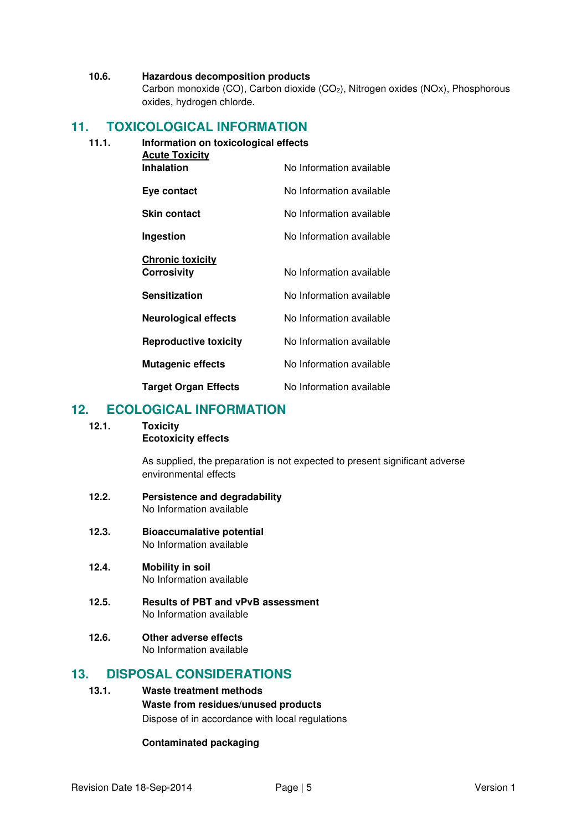#### **10.6. Hazardous decomposition products**

Carbon monoxide (CO), Carbon dioxide (CO2), Nitrogen oxides (NOx), Phosphorous oxides, hydrogen chlorde.

# **11. TOXICOLOGICAL INFORMATION**

### **11.1. Information on toxicological effects**

| <b>Acute Toxicity</b>        |                          |
|------------------------------|--------------------------|
| <b>Inhalation</b>            | No Information available |
| Eye contact                  | No Information available |
| <b>Skin contact</b>          | No Information available |
| Ingestion                    | No Information available |
| <b>Chronic toxicity</b>      |                          |
| <b>Corrosivity</b>           | No Information available |
| <b>Sensitization</b>         | No Information available |
| <b>Neurological effects</b>  | No Information available |
| <b>Reproductive toxicity</b> | No Information available |
| <b>Mutagenic effects</b>     | No Information available |
| <b>Target Organ Effects</b>  | No Information available |

# **12. ECOLOGICAL INFORMATION**

### **12.1. Toxicity**

# **Ecotoxicity effects**

As supplied, the preparation is not expected to present significant adverse environmental effects

# **12.2. Persistence and degradability**  No Information available

#### **12.3. Bioaccumalative potential**  No Information available

- **12.4. Mobility in soil**  No Information available
- **12.5. Results of PBT and vPvB assessment**  No Information available
- **12.6. Other adverse effects**  No Information available

# **13. DISPOSAL CONSIDERATIONS**

# **13.1. Waste treatment methods Waste from residues/unused products**  Dispose of in accordance with local regulations

# **Contaminated packaging**